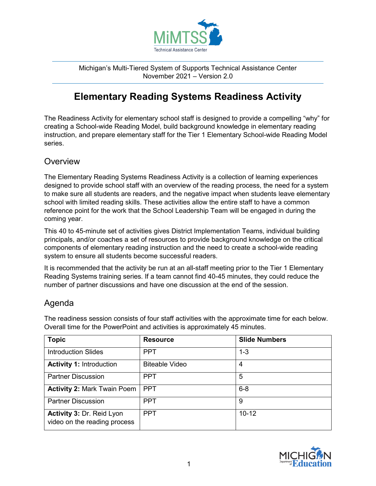

Michigan's Multi-Tiered System of Supports Technical Assistance Center November 2021 – Version 2.0

## **Elementary Reading Systems Readiness Activity**

The Readiness Activity for elementary school staff is designed to provide a compelling "why" for creating a School-wide Reading Model, build background knowledge in elementary reading instruction, and prepare elementary staff for the Tier 1 Elementary School-wide Reading Model series.

## **Overview**

The Elementary Reading Systems Readiness Activity is a collection of learning experiences designed to provide school staff with an overview of the reading process, the need for a system to make sure all students are readers, and the negative impact when students leave elementary school with limited reading skills. These activities allow the entire staff to have a common reference point for the work that the School Leadership Team will be engaged in during the coming year.

This 40 to 45-minute set of activities gives District Implementation Teams, individual building principals, and/or coaches a set of resources to provide background knowledge on the critical components of elementary reading instruction and the need to create a school-wide reading system to ensure all students become successful readers.

It is recommended that the activity be run at an all-staff meeting prior to the Tier 1 Elementary Reading Systems training series. If a team cannot find 40-45 minutes, they could reduce the number of partner discussions and have one discussion at the end of the session.

## Agenda

| <b>Topic</b>                                              | <b>Resource</b>       | <b>Slide Numbers</b> |
|-----------------------------------------------------------|-----------------------|----------------------|
| <b>Introduction Slides</b>                                | <b>PPT</b>            | $1 - 3$              |
| <b>Activity 1: Introduction</b>                           | <b>Biteable Video</b> | 4                    |
| <b>Partner Discussion</b>                                 | <b>PPT</b>            | 5                    |
| <b>Activity 2: Mark Twain Poem</b>                        | <b>PPT</b>            | $6 - 8$              |
| <b>Partner Discussion</b>                                 | <b>PPT</b>            | 9                    |
| Activity 3: Dr. Reid Lyon<br>video on the reading process | <b>PPT</b>            | $10 - 12$            |

The readiness session consists of four staff activities with the approximate time for each below. Overall time for the PowerPoint and activities is approximately 45 minutes.